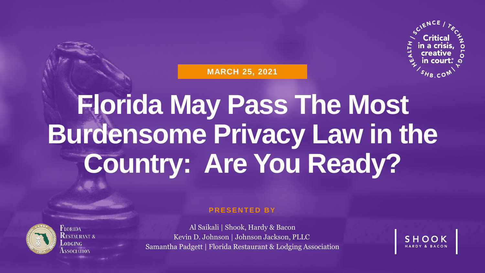

**MARCH 25, 2021**

# **Florida May Pass The Most Burdensome Privacy Law in the Country: Are You Ready?**



FLORIDA ESTALIRANT *8* **SSOCIATION** 

#### **P R E S E N T E D B Y**

Al Saikali | Shook, Hardy & Bacon Kevin D. Johnson | Johnson Jackson, PLLC Samantha Padgett | Florida Restaurant & Lodging Association

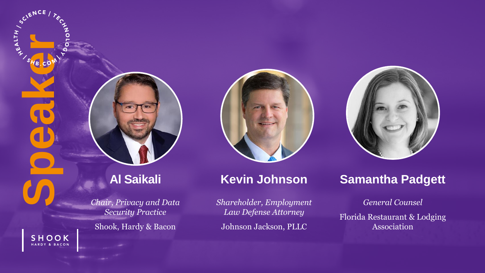

SHOOK HARDY & BACON

#### **Al Saikali**

*Chair, Privacy and Data Security Practice*

Shook, Hardy & Bacon



#### **Kevin Johnson**

*Shareholder, Employment Law Defense Attorney*

Johnson Jackson, PLLC



#### **Samantha Padgett**

#### *General Counsel*

Florida Restaurant & Lodging Association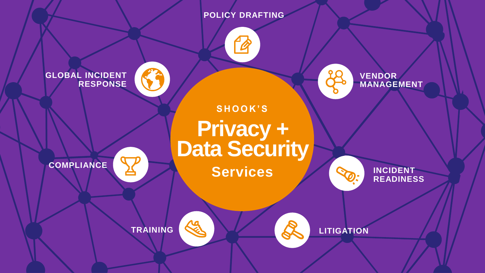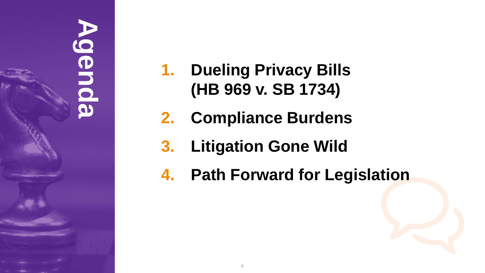# **Agenda**

- **1. Dueling Privacy Bills (HB 969 v. SB 1734)**
- **2. Compliance Burdens**
- **3. Litigation Gone Wild**
- **4. Path Forward for Legislation**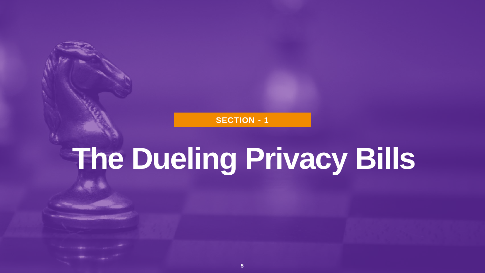**SECTION - 1**

# **The Dueling Privacy Bills**

**5**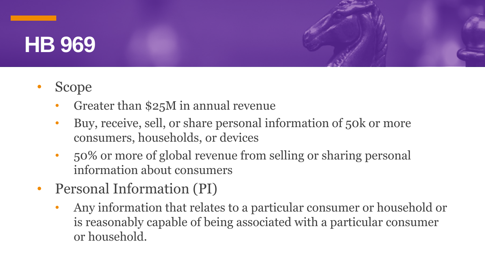#### **HB 969**

- Scope
	- Greater than \$25M in annual revenue
	- Buy, receive, sell, or share personal information of 50k or more consumers, households, or devices
	- 50% or more of global revenue from selling or sharing personal information about consumers
- Personal Information (PI)
	- Any information that relates to a particular consumer or household or is reasonably capable of being associated with a particular consumer or household.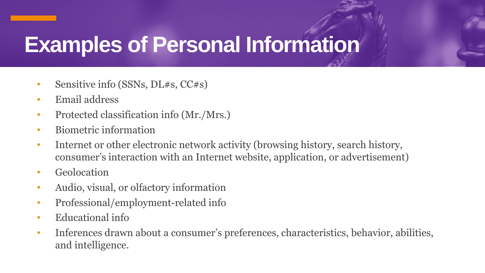## **Examples of Personal Information**

- Sensitive info (SSNs, DL#s, CC#s)
- Email address
- Protected classification info (Mr./Mrs.)
- Biometric information
- Internet or other electronic network activity (browsing history, search history, consumer's interaction with an Internet website, application, or advertisement)
- Geolocation
- Audio, visual, or olfactory information
- Professional/employment-related info
- Educational info
- Inferences drawn about a consumer's preferences, characteristics, behavior, abilities, and intelligence.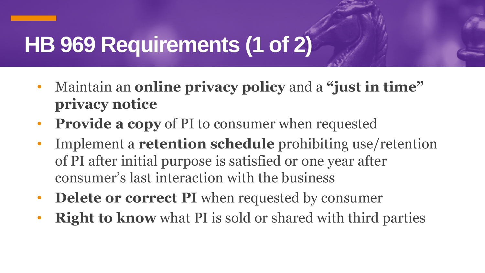## **HB 969 Requirements (1 of 2)**

- Maintain an **online privacy policy** and a **"just in time" privacy notice**
- **Provide a copy** of PI to consumer when requested
- Implement a **retention schedule** prohibiting use/retention of PI after initial purpose is satisfied or one year after consumer's last interaction with the business
- **Delete or correct PI** when requested by consumer
- **Right to know** what PI is sold or shared with third parties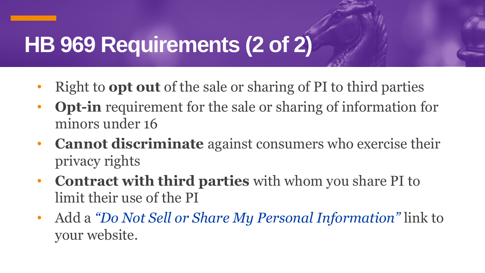## **HB 969 Requirements (2 of 2)**

- Right to **opt out** of the sale or sharing of PI to third parties
- **Opt-in** requirement for the sale or sharing of information for minors under 16
- **Cannot discriminate** against consumers who exercise their privacy rights
- **Contract with third parties** with whom you share PI to limit their use of the PI
- Add a *"Do Not Sell or Share My Personal Information"* link to your website.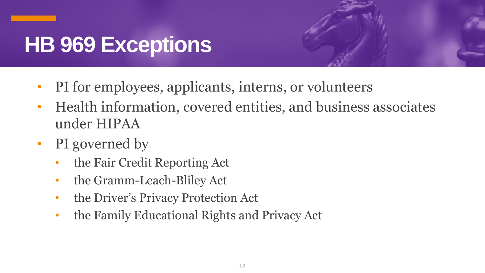## **HB 969 Exceptions**



- PI for employees, applicants, interns, or volunteers
- Health information, covered entities, and business associates under HIPAA
- PI governed by
	- the Fair Credit Reporting Act
	- the Gramm-Leach-Bliley Act
	- the Driver's Privacy Protection Act
	- the Family Educational Rights and Privacy Act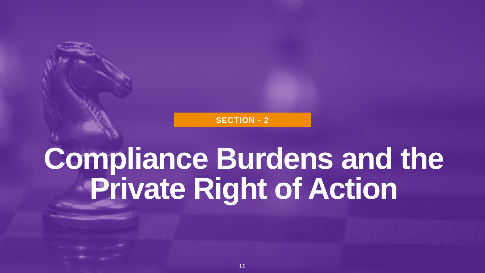**SECTION - 2**

# **Compliance Burdens and the Private Right of Action**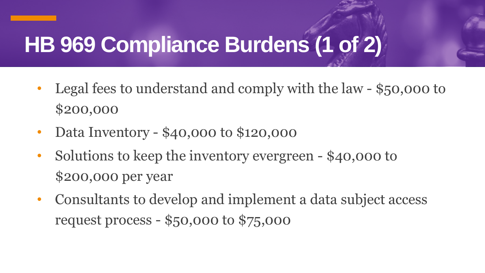## **HB 969 Compliance Burdens (1 of 2)**

- Legal fees to understand and comply with the law \$50,000 to \$200,000
- Data Inventory \$40,000 to \$120,000
- Solutions to keep the inventory evergreen \$40,000 to \$200,000 per year
- Consultants to develop and implement a data subject access request process - \$50,000 to \$75,000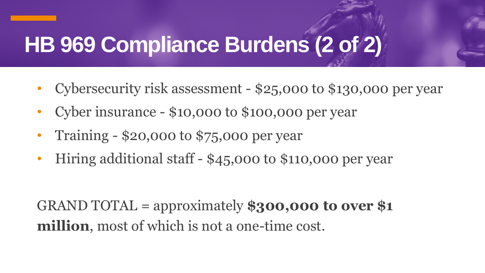## **HB 969 Compliance Burdens (2 of 2)**

- Cybersecurity risk assessment \$25,000 to \$130,000 per year
- Cyber insurance \$10,000 to \$100,000 per year
- Training \$20,000 to \$75,000 per year
- Hiring additional staff \$45,000 to \$110,000 per year

GRAND TOTAL = approximately **\$300,000 to over \$1 million**, most of which is not a one-time cost.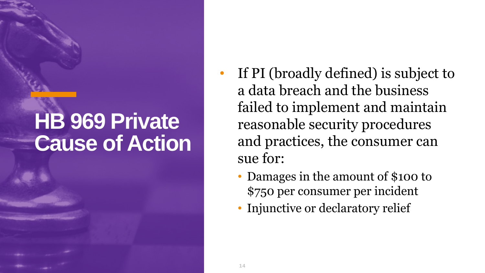## **HB 969 Private Cause of Action**

- If PI (broadly defined) is subject to a data breach and the business failed to implement and maintain reasonable security procedures and practices, the consumer can sue for:
	- Damages in the amount of \$100 to \$750 per consumer per incident
	- Injunctive or declaratory relief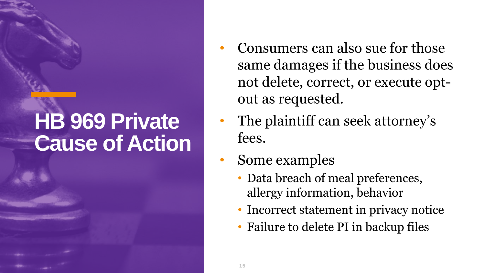## **HB 969 Private Cause of Action**

- Consumers can also sue for those same damages if the business does not delete, correct, or execute optout as requested.
- The plaintiff can seek attorney's fees.
- Some examples
	- Data breach of meal preferences, allergy information, behavior
	- Incorrect statement in privacy notice
	- Failure to delete PI in backup files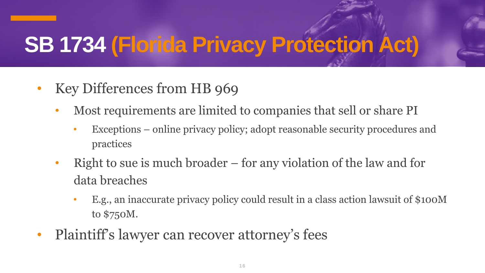## **SB 1734 (Florida Privacy Protection Act)**

- Key Differences from HB 969
	- Most requirements are limited to companies that sell or share PI
		- Exceptions online privacy policy; adopt reasonable security procedures and practices
	- Right to sue is much broader for any violation of the law and for data breaches
		- E.g., an inaccurate privacy policy could result in a class action lawsuit of \$100M to \$750M.
- Plaintiff's lawyer can recover attorney's fees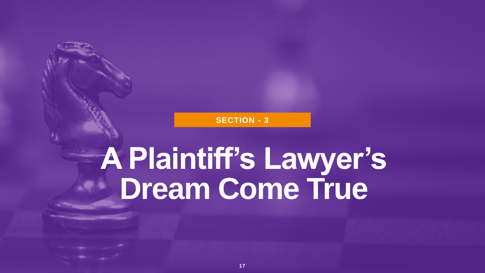#### **SECTION - 3**

# **A Plaintiff's Lawyer's Dream Come True**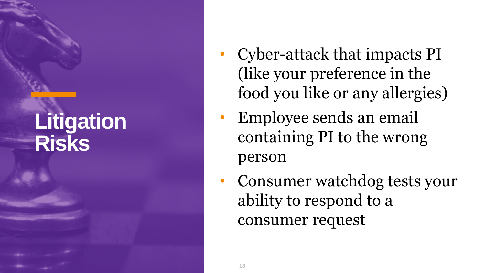#### **Litigation Risks**

- Cyber-attack that impacts PI (like your preference in the food you like or any allergies)
- Employee sends an email containing PI to the wrong person
- Consumer watchdog tests your ability to respond to a consumer request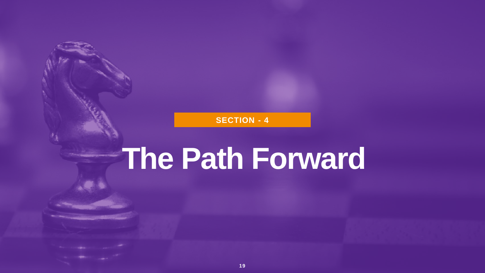**SECTION - 4**

## **The Path Forward**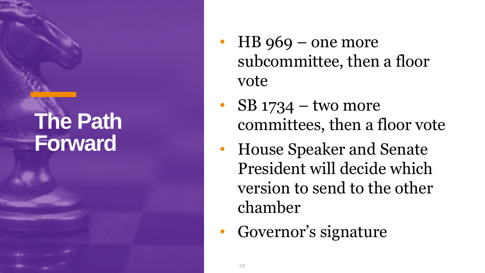### **The Path Forward**

- $HB$  969 one more subcommittee, then a floor vote
- $SB$  1734 two more committees, then a floor vote
- House Speaker and Senate President will decide which version to send to the other chamber
- Governor's signature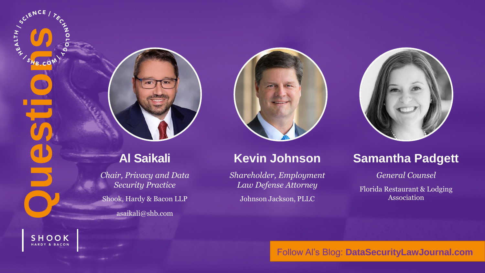

SHOOK HARDY & BACON

*Chair, Privacy and Data Security Practice* Shook, Hardy & Bacon LLP

asaikali@shb.com



#### **Kevin Johnson**

*Shareholder, Employment Law Defense Attorney* Johnson Jackson, PLLC



#### **Samantha Padgett**

*General Counsel*

Florida Restaurant & Lodging Association

Follow Al's Blog: **DataSecurityLawJournal.com**